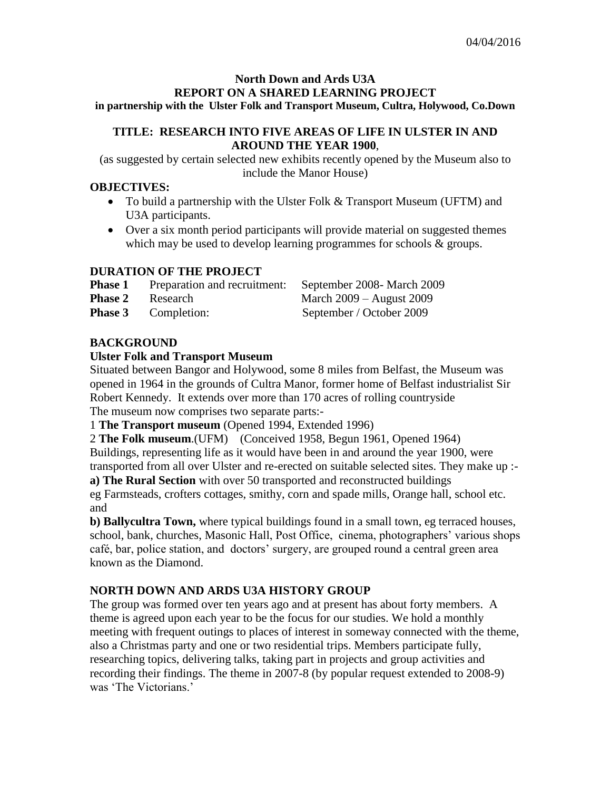#### **North Down and Ards U3A REPORT ON A SHARED LEARNING PROJECT in partnership with the Ulster Folk and Transport Museum, Cultra, Holywood, Co.Down**

# **TITLE: RESEARCH INTO FIVE AREAS OF LIFE IN ULSTER IN AND AROUND THE YEAR 1900**,

(as suggested by certain selected new exhibits recently opened by the Museum also to include the Manor House)

# **OBJECTIVES:**

- To build a partnership with the Ulster Folk & Transport Museum (UFTM) and U3A participants.
- Over a six month period participants will provide material on suggested themes which may be used to develop learning programmes for schools & groups.

# **DURATION OF THE PROJECT**

| <b>Phase 1</b> | Preparation and recruitment |
|----------------|-----------------------------|
| <b>Phase 2</b> | Research                    |

**Phase 1 Phase 1 Phase 2008**- March 2009 **March 2009 – August 2009 Phase 3** Completion: September / October 2009

# **BACKGROUND**

# **Ulster Folk and Transport Museum**

Situated between Bangor and Holywood, some 8 miles from Belfast, the Museum was opened in 1964 in the grounds of Cultra Manor, former home of Belfast industrialist Sir Robert Kennedy. It extends over more than 170 acres of rolling countryside The museum now comprises two separate parts:-

1 **The Transport museum** (Opened 1994, Extended 1996)

2 **The Folk museum**.(UFM) (Conceived 1958, Begun 1961, Opened 1964) Buildings, representing life as it would have been in and around the year 1900, were transported from all over Ulster and re-erected on suitable selected sites. They make up :-

**a) The Rural Section** with over 50 transported and reconstructed buildings

eg Farmsteads, crofters cottages, smithy, corn and spade mills, Orange hall, school etc. and

**b) Ballycultra Town,** where typical buildings found in a small town, eg terraced houses, school, bank, churches, Masonic Hall, Post Office, cinema, photographers' various shops café, bar, police station, and doctors' surgery, are grouped round a central green area known as the Diamond.

# **NORTH DOWN AND ARDS U3A HISTORY GROUP**

The group was formed over ten years ago and at present has about forty members. A theme is agreed upon each year to be the focus for our studies. We hold a monthly meeting with frequent outings to places of interest in someway connected with the theme, also a Christmas party and one or two residential trips. Members participate fully, researching topics, delivering talks, taking part in projects and group activities and recording their findings. The theme in 2007-8 (by popular request extended to 2008-9) was 'The Victorians.'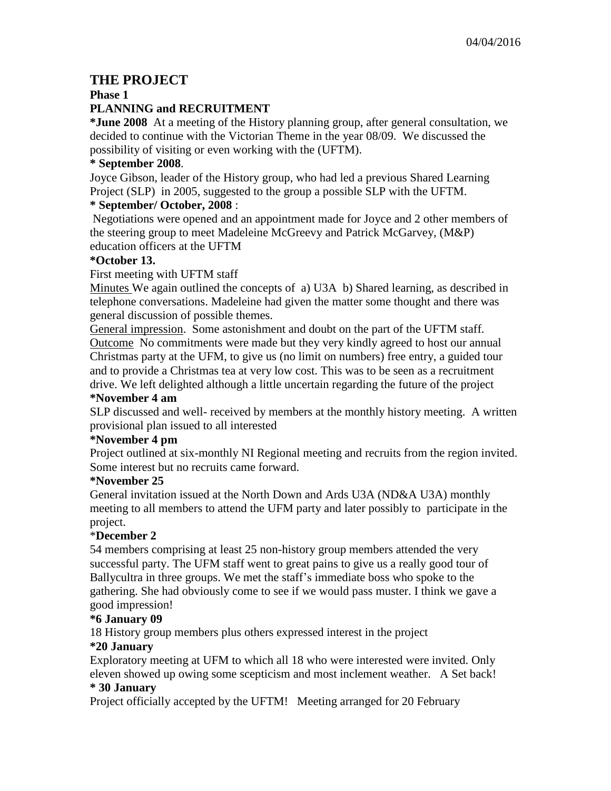# **THE PROJECT**

**Phase 1**

# **PLANNING and RECRUITMENT**

**\*June 2008** At a meeting of the History planning group, after general consultation, we decided to continue with the Victorian Theme in the year 08/09. We discussed the possibility of visiting or even working with the (UFTM).

# **\* September 2008**.

Joyce Gibson, leader of the History group, who had led a previous Shared Learning Project (SLP) in 2005, suggested to the group a possible SLP with the UFTM.

# **\* September/ October, 2008** :

Negotiations were opened and an appointment made for Joyce and 2 other members of the steering group to meet Madeleine McGreevy and Patrick McGarvey, (M&P) education officers at the UFTM

# **\*October 13.**

# First meeting with UFTM staff

Minutes We again outlined the concepts of a) U3A b) Shared learning, as described in telephone conversations. Madeleine had given the matter some thought and there was general discussion of possible themes.

General impression. Some astonishment and doubt on the part of the UFTM staff. Outcome No commitments were made but they very kindly agreed to host our annual Christmas party at the UFM, to give us (no limit on numbers) free entry, a guided tour and to provide a Christmas tea at very low cost. This was to be seen as a recruitment drive. We left delighted although a little uncertain regarding the future of the project **\*November 4 am**

SLP discussed and well- received by members at the monthly history meeting. A written provisional plan issued to all interested

# **\*November 4 pm**

Project outlined at six-monthly NI Regional meeting and recruits from the region invited. Some interest but no recruits came forward.

# **\*November 25**

General invitation issued at the North Down and Ards U3A (ND&A U3A) monthly meeting to all members to attend the UFM party and later possibly to participate in the project.

# \***December 2**

54 members comprising at least 25 non-history group members attended the very successful party. The UFM staff went to great pains to give us a really good tour of Ballycultra in three groups. We met the staff's immediate boss who spoke to the gathering. She had obviously come to see if we would pass muster. I think we gave a good impression!

# **\*6 January 09**

18 History group members plus others expressed interest in the project

# **\*20 January**

Exploratory meeting at UFM to which all 18 who were interested were invited. Only eleven showed up owing some scepticism and most inclement weather. A Set back! **\* 30 January** 

Project officially accepted by the UFTM! Meeting arranged for 20 February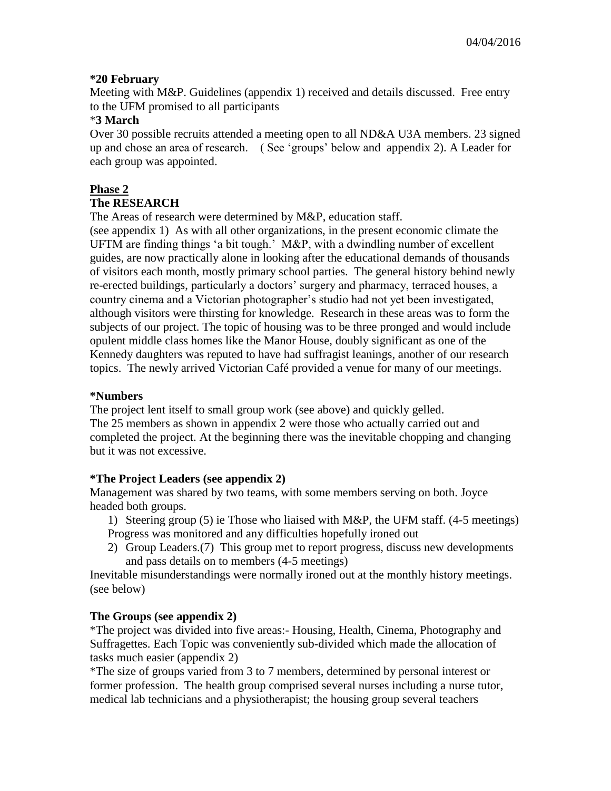# **\*20 February**

Meeting with M&P. Guidelines (appendix 1) received and details discussed. Free entry to the UFM promised to all participants

# \***3 March**

Over 30 possible recruits attended a meeting open to all ND&A U3A members. 23 signed up and chose an area of research. ( See 'groups' below and appendix 2). A Leader for each group was appointed.

# **Phase 2**

# **The RESEARCH**

The Areas of research were determined by M&P, education staff.

(see appendix 1) As with all other organizations, in the present economic climate the UFTM are finding things 'a bit tough.' M&P, with a dwindling number of excellent guides, are now practically alone in looking after the educational demands of thousands of visitors each month, mostly primary school parties. The general history behind newly re-erected buildings, particularly a doctors' surgery and pharmacy, terraced houses, a country cinema and a Victorian photographer's studio had not yet been investigated, although visitors were thirsting for knowledge. Research in these areas was to form the subjects of our project. The topic of housing was to be three pronged and would include opulent middle class homes like the Manor House, doubly significant as one of the Kennedy daughters was reputed to have had suffragist leanings, another of our research topics. The newly arrived Victorian Café provided a venue for many of our meetings.

# **\*Numbers**

The project lent itself to small group work (see above) and quickly gelled. The 25 members as shown in appendix 2 were those who actually carried out and completed the project. At the beginning there was the inevitable chopping and changing but it was not excessive.

# **\*The Project Leaders (see appendix 2)**

Management was shared by two teams, with some members serving on both. Joyce headed both groups.

- 1) Steering group (5) ie Those who liaised with M&P, the UFM staff. (4-5 meetings) Progress was monitored and any difficulties hopefully ironed out
- 2) Group Leaders.(7) This group met to report progress, discuss new developments and pass details on to members (4-5 meetings)

Inevitable misunderstandings were normally ironed out at the monthly history meetings. (see below)

# **The Groups (see appendix 2)**

\*The project was divided into five areas:- Housing, Health, Cinema, Photography and Suffragettes. Each Topic was conveniently sub-divided which made the allocation of tasks much easier (appendix 2)

\*The size of groups varied from 3 to 7 members, determined by personal interest or former profession. The health group comprised several nurses including a nurse tutor, medical lab technicians and a physiotherapist; the housing group several teachers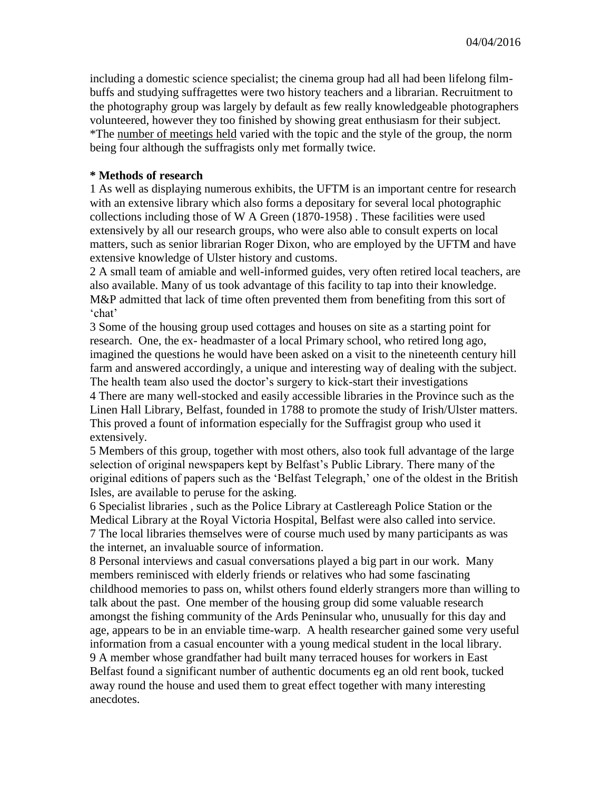including a domestic science specialist; the cinema group had all had been lifelong filmbuffs and studying suffragettes were two history teachers and a librarian. Recruitment to the photography group was largely by default as few really knowledgeable photographers volunteered, however they too finished by showing great enthusiasm for their subject. \*The number of meetings held varied with the topic and the style of the group, the norm being four although the suffragists only met formally twice.

# **\* Methods of research**

1 As well as displaying numerous exhibits, the UFTM is an important centre for research with an extensive library which also forms a depositary for several local photographic collections including those of W A Green (1870-1958) . These facilities were used extensively by all our research groups, who were also able to consult experts on local matters, such as senior librarian Roger Dixon, who are employed by the UFTM and have extensive knowledge of Ulster history and customs.

2 A small team of amiable and well-informed guides, very often retired local teachers, are also available. Many of us took advantage of this facility to tap into their knowledge. M&P admitted that lack of time often prevented them from benefiting from this sort of 'chat'

3 Some of the housing group used cottages and houses on site as a starting point for research. One, the ex- headmaster of a local Primary school, who retired long ago, imagined the questions he would have been asked on a visit to the nineteenth century hill farm and answered accordingly, a unique and interesting way of dealing with the subject. The health team also used the doctor's surgery to kick-start their investigations

4 There are many well-stocked and easily accessible libraries in the Province such as the Linen Hall Library, Belfast, founded in 1788 to promote the study of Irish/Ulster matters. This proved a fount of information especially for the Suffragist group who used it extensively.

5 Members of this group, together with most others, also took full advantage of the large selection of original newspapers kept by Belfast's Public Library. There many of the original editions of papers such as the 'Belfast Telegraph,' one of the oldest in the British Isles, are available to peruse for the asking.

6 Specialist libraries , such as the Police Library at Castlereagh Police Station or the Medical Library at the Royal Victoria Hospital, Belfast were also called into service. 7 The local libraries themselves were of course much used by many participants as was the internet, an invaluable source of information.

8 Personal interviews and casual conversations played a big part in our work. Many members reminisced with elderly friends or relatives who had some fascinating childhood memories to pass on, whilst others found elderly strangers more than willing to talk about the past. One member of the housing group did some valuable research amongst the fishing community of the Ards Peninsular who, unusually for this day and age, appears to be in an enviable time-warp. A health researcher gained some very useful information from a casual encounter with a young medical student in the local library. 9 A member whose grandfather had built many terraced houses for workers in East Belfast found a significant number of authentic documents eg an old rent book, tucked away round the house and used them to great effect together with many interesting anecdotes.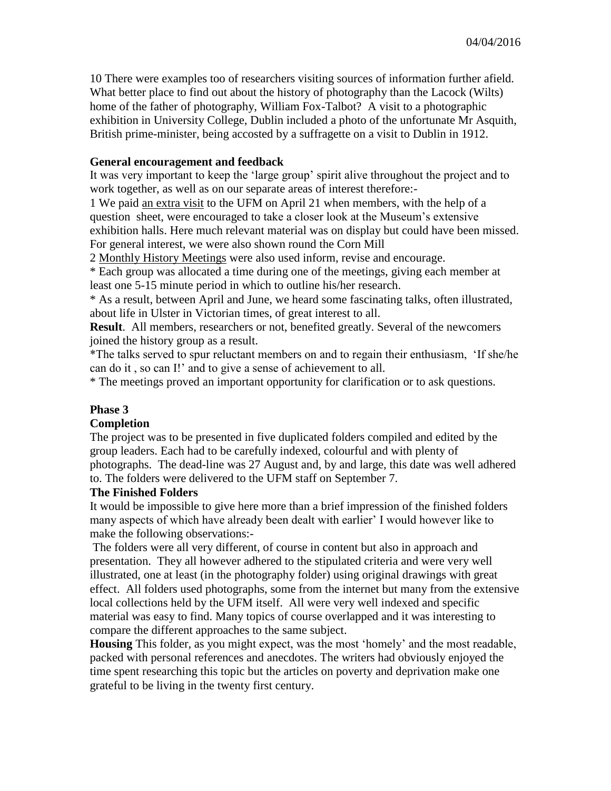10 There were examples too of researchers visiting sources of information further afield. What better place to find out about the history of photography than the Lacock (Wilts) home of the father of photography, William Fox-Talbot? A visit to a photographic exhibition in University College, Dublin included a photo of the unfortunate Mr Asquith, British prime-minister, being accosted by a suffragette on a visit to Dublin in 1912.

# **General encouragement and feedback**

It was very important to keep the 'large group' spirit alive throughout the project and to work together, as well as on our separate areas of interest therefore:-

1 We paid an extra visit to the UFM on April 21 when members, with the help of a question sheet, were encouraged to take a closer look at the Museum's extensive exhibition halls. Here much relevant material was on display but could have been missed. For general interest, we were also shown round the Corn Mill

2 Monthly History Meetings were also used inform, revise and encourage.

\* Each group was allocated a time during one of the meetings, giving each member at least one 5-15 minute period in which to outline his/her research.

\* As a result, between April and June, we heard some fascinating talks, often illustrated, about life in Ulster in Victorian times, of great interest to all.

**Result**. All members, researchers or not, benefited greatly. Several of the newcomers joined the history group as a result.

\*The talks served to spur reluctant members on and to regain their enthusiasm, 'If she/he can do it , so can I!' and to give a sense of achievement to all.

\* The meetings proved an important opportunity for clarification or to ask questions.

# **Phase 3**

# **Completion**

The project was to be presented in five duplicated folders compiled and edited by the group leaders. Each had to be carefully indexed, colourful and with plenty of photographs. The dead-line was 27 August and, by and large, this date was well adhered to. The folders were delivered to the UFM staff on September 7.

### **The Finished Folders**

It would be impossible to give here more than a brief impression of the finished folders many aspects of which have already been dealt with earlier' I would however like to make the following observations:-

The folders were all very different, of course in content but also in approach and presentation. They all however adhered to the stipulated criteria and were very well illustrated, one at least (in the photography folder) using original drawings with great effect. All folders used photographs, some from the internet but many from the extensive local collections held by the UFM itself. All were very well indexed and specific material was easy to find. Many topics of course overlapped and it was interesting to compare the different approaches to the same subject.

**Housing** This folder, as you might expect, was the most 'homely' and the most readable, packed with personal references and anecdotes. The writers had obviously enjoyed the time spent researching this topic but the articles on poverty and deprivation make one grateful to be living in the twenty first century.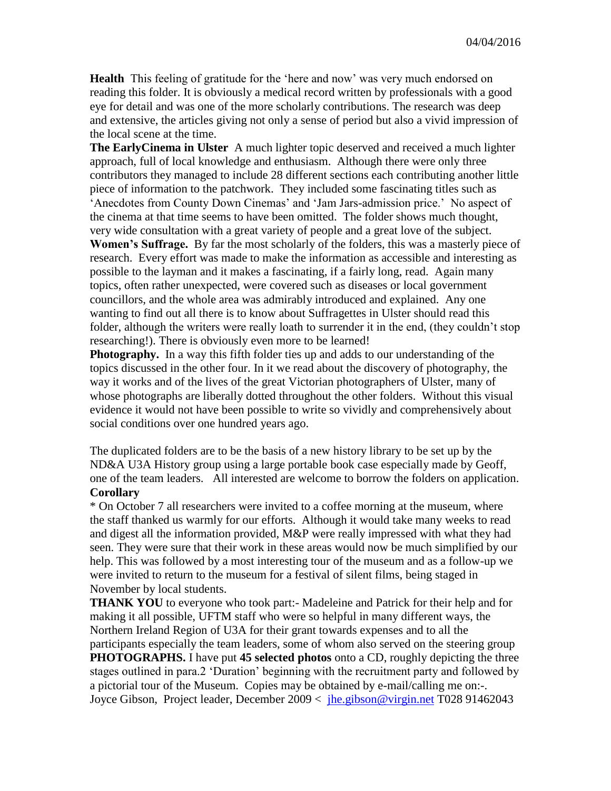**Health** This feeling of gratitude for the 'here and now' was very much endorsed on reading this folder. It is obviously a medical record written by professionals with a good eye for detail and was one of the more scholarly contributions. The research was deep and extensive, the articles giving not only a sense of period but also a vivid impression of the local scene at the time.

**The EarlyCinema in Ulster** A much lighter topic deserved and received a much lighter approach, full of local knowledge and enthusiasm. Although there were only three contributors they managed to include 28 different sections each contributing another little piece of information to the patchwork. They included some fascinating titles such as 'Anecdotes from County Down Cinemas' and 'Jam Jars-admission price.' No aspect of the cinema at that time seems to have been omitted. The folder shows much thought, very wide consultation with a great variety of people and a great love of the subject. **Women's Suffrage.** By far the most scholarly of the folders, this was a masterly piece of research. Every effort was made to make the information as accessible and interesting as possible to the layman and it makes a fascinating, if a fairly long, read. Again many topics, often rather unexpected, were covered such as diseases or local government councillors, and the whole area was admirably introduced and explained. Any one wanting to find out all there is to know about Suffragettes in Ulster should read this folder, although the writers were really loath to surrender it in the end, (they couldn't stop researching!). There is obviously even more to be learned!

**Photography.** In a way this fifth folder ties up and adds to our understanding of the topics discussed in the other four. In it we read about the discovery of photography, the way it works and of the lives of the great Victorian photographers of Ulster, many of whose photographs are liberally dotted throughout the other folders. Without this visual evidence it would not have been possible to write so vividly and comprehensively about social conditions over one hundred years ago.

The duplicated folders are to be the basis of a new history library to be set up by the ND&A U3A History group using a large portable book case especially made by Geoff, one of the team leaders. All interested are welcome to borrow the folders on application. **Corollary**

# \* On October 7 all researchers were invited to a coffee morning at the museum, where the staff thanked us warmly for our efforts. Although it would take many weeks to read and digest all the information provided, M&P were really impressed with what they had seen. They were sure that their work in these areas would now be much simplified by our help. This was followed by a most interesting tour of the museum and as a follow-up we were invited to return to the museum for a festival of silent films, being staged in November by local students.

**THANK YOU** to everyone who took part:- Madeleine and Patrick for their help and for making it all possible, UFTM staff who were so helpful in many different ways, the Northern Ireland Region of U3A for their grant towards expenses and to all the participants especially the team leaders, some of whom also served on the steering group **PHOTOGRAPHS.** I have put **45 selected photos** onto a CD, roughly depicting the three stages outlined in para.2 'Duration' beginning with the recruitment party and followed by a pictorial tour of the Museum. Copies may be obtained by e-mail/calling me on:-. Joyce Gibson, Project leader, December 2009 < [jhe.gibson@virgin.net](mailto:jhe.gibson@virgin.net) T028 91462043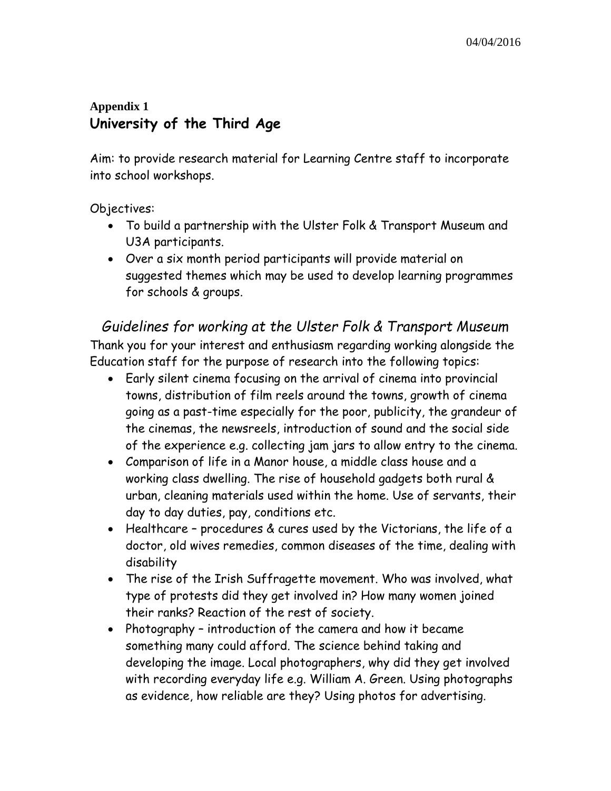# **Appendix 1 University of the Third Age**

Aim: to provide research material for Learning Centre staff to incorporate into school workshops.

Objectives:

- To build a partnership with the Ulster Folk & Transport Museum and U3A participants.
- Over a six month period participants will provide material on suggested themes which may be used to develop learning programmes for schools & groups.

*Guidelines for working at the Ulster Folk & Transport Museum* Thank you for your interest and enthusiasm regarding working alongside the Education staff for the purpose of research into the following topics:

- Early silent cinema focusing on the arrival of cinema into provincial towns, distribution of film reels around the towns, growth of cinema going as a past-time especially for the poor, publicity, the grandeur of the cinemas, the newsreels, introduction of sound and the social side of the experience e.g. collecting jam jars to allow entry to the cinema.
- Comparison of life in a Manor house, a middle class house and a working class dwelling. The rise of household gadgets both rural & urban, cleaning materials used within the home. Use of servants, their day to day duties, pay, conditions etc.
- Healthcare procedures & cures used by the Victorians, the life of a doctor, old wives remedies, common diseases of the time, dealing with disability
- The rise of the Irish Suffragette movement. Who was involved, what type of protests did they get involved in? How many women joined their ranks? Reaction of the rest of society.
- Photography introduction of the camera and how it became something many could afford. The science behind taking and developing the image. Local photographers, why did they get involved with recording everyday life e.g. William A. Green. Using photographs as evidence, how reliable are they? Using photos for advertising.